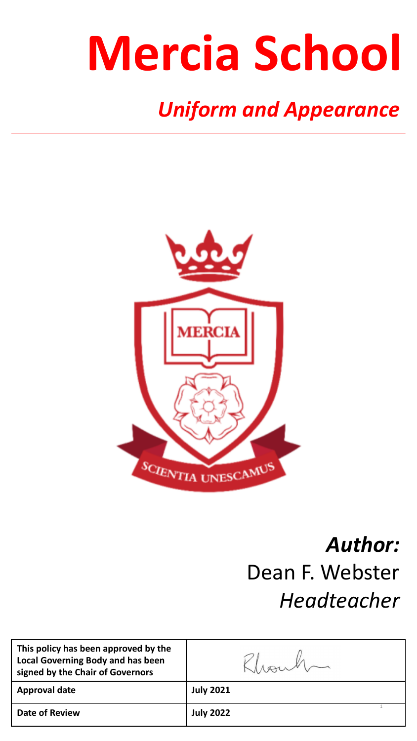# **Mercia School**

# *Uniform and Appearance*



### *Author:*  Dean F. Webster *Headteacher*

| This policy has been approved by the<br><b>Local Governing Body and has been</b><br>signed by the Chair of Governors |                  |
|----------------------------------------------------------------------------------------------------------------------|------------------|
| <b>Approval date</b>                                                                                                 | <b>July 2021</b> |
| <b>Date of Review</b>                                                                                                | <b>July 2022</b> |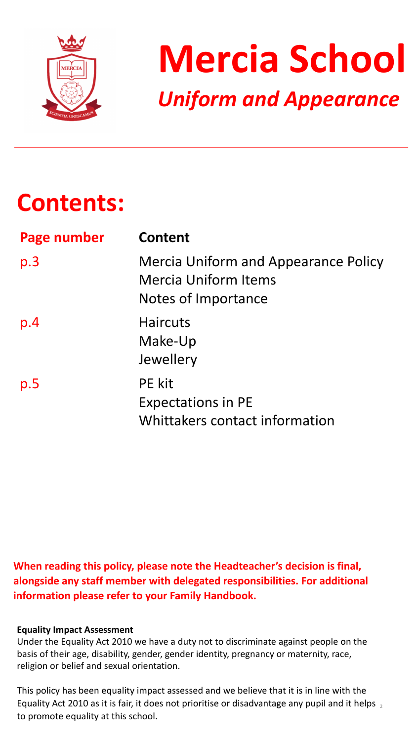



# **Contents:**

| Page number | <b>Content</b>                                                                                    |
|-------------|---------------------------------------------------------------------------------------------------|
| p.3         | <b>Mercia Uniform and Appearance Policy</b><br><b>Mercia Uniform Items</b><br>Notes of Importance |
| p.4         | <b>Haircuts</b><br>Make-Up<br>Jewellery                                                           |
| p.5         | <b>PE</b> kit<br><b>Expectations in PE</b><br>Whittakers contact information                      |

### When reading this policy, please note the Headteacher's decision is final, alongside any staff member with delegated responsibilities. For additional **information please refer to your Family Handbook.**

### **Equality Impact Assessment**

Under the Equality Act 2010 we have a duty not to discriminate against people on the basis of their age, disability, gender, gender identity, pregnancy or maternity, race, religion or belief and sexual orientation.

Equality Act 2010 as it is fair, it does not prioritise or disadvantage any pupil and it helps  $_2$ This policy has been equality impact assessed and we believe that it is in line with the to promote equality at this school.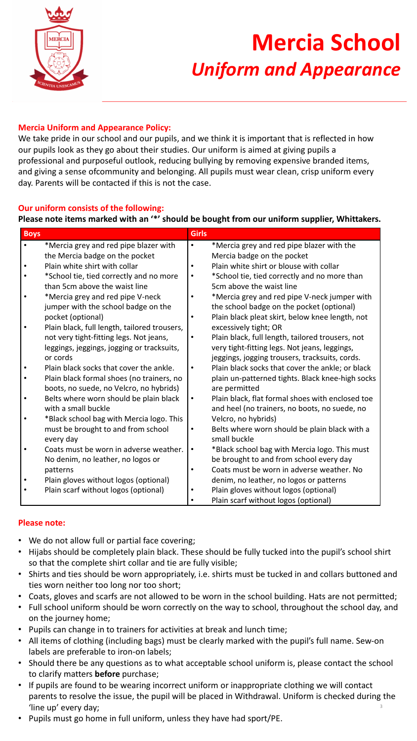

# **Mercia School**  *Uniform and Appearance*

#### **Mercia Uniform and Appearance Policy:**

We take pride in our school and our pupils, and we think it is important that is reflected in how our pupils look as they go about their studies. Our uniform is aimed at giving pupils a professional and purposeful outlook, reducing bullying by removing expensive branded items, and giving a sense ofcommunity and belonging. All pupils must wear clean, crisp uniform every day. Parents will be contacted if this is not the case.

#### **Our uniform consists of the following:**

#### Please note items marked with an '\*' should be bought from our uniform supplier, Whittakers.

| <b>Boys</b> |                                              | <b>Girls</b> |                                                  |
|-------------|----------------------------------------------|--------------|--------------------------------------------------|
|             | *Mercia grey and red pipe blazer with        | $\bullet$    | *Mercia grey and red pipe blazer with the        |
|             | the Mercia badge on the pocket               |              | Mercia badge on the pocket                       |
|             | Plain white shirt with collar                | $\bullet$    | Plain white shirt or blouse with collar          |
|             | *School tie, tied correctly and no more      | $\bullet$    | *School tie, tied correctly and no more than     |
|             | than 5cm above the waist line                |              | 5cm above the waist line                         |
|             | *Mercia grey and red pipe V-neck             | $\bullet$    | *Mercia grey and red pipe V-neck jumper with     |
|             | jumper with the school badge on the          |              | the school badge on the pocket (optional)        |
|             | pocket (optional)                            | $\bullet$    | Plain black pleat skirt, below knee length, not  |
|             | Plain black, full length, tailored trousers, |              | excessively tight; OR                            |
|             | not very tight-fitting legs. Not jeans,      | $\bullet$    | Plain black, full length, tailored trousers, not |
|             | leggings, jeggings, jogging or tracksuits,   |              | very tight-fitting legs. Not jeans, leggings,    |
|             | or cords                                     |              | jeggings, jogging trousers, tracksuits, cords.   |
|             | Plain black socks that cover the ankle.      | $\bullet$    | Plain black socks that cover the ankle; or black |
|             | Plain black formal shoes (no trainers, no    |              | plain un-patterned tights. Black knee-high socks |
|             | boots, no suede, no Velcro, no hybrids)      |              | are permitted                                    |
|             | Belts where worn should be plain black       | $\bullet$    | Plain black, flat formal shoes with enclosed toe |
|             | with a small buckle                          |              | and heel (no trainers, no boots, no suede, no    |
|             | *Black school bag with Mercia logo. This     |              | Velcro, no hybrids)                              |
|             | must be brought to and from school           | $\bullet$    | Belts where worn should be plain black with a    |
|             | every day                                    |              | small buckle                                     |
|             | Coats must be worn in adverse weather.       | $\bullet$    | *Black school bag with Mercia logo. This must    |
|             | No denim, no leather, no logos or            |              | be brought to and from school every day          |
|             | patterns                                     | $\bullet$    | Coats must be worn in adverse weather. No        |
|             | Plain gloves without logos (optional)        |              | denim, no leather, no logos or patterns          |
|             | Plain scarf without logos (optional)         |              | Plain gloves without logos (optional)            |
|             |                                              |              | Plain scarf without logos (optional)             |

#### **Please note:**

- We do not allow full or partial face covering;
- Hijabs should be completely plain black. These should be fully tucked into the pupil's school shirt so that the complete shirt collar and tie are fully visible;
- Shirts and ties should be worn appropriately, i.e. shirts must be tucked in and collars buttoned and ties worn neither too long nor too short;
- Coats, gloves and scarfs are not allowed to be worn in the school building. Hats are not permitted;
- Full school uniform should be worn correctly on the way to school, throughout the school day, and on the journey home;
- Pupils can change in to trainers for activities at break and lunch time;
- All items of clothing (including bags) must be clearly marked with the pupil's full name. Sew-on labels are preferable to iron-on labels;
- Should there be any questions as to what acceptable school uniform is, please contact the school to clarify matters **before** purchase;
- 3 • If pupils are found to be wearing incorrect uniform or inappropriate clothing we will contact parents to resolve the issue, the pupil will be placed in Withdrawal. Uniform is checked during the 'line up' every day;
- Pupils must go home in full uniform, unless they have had sport/PE.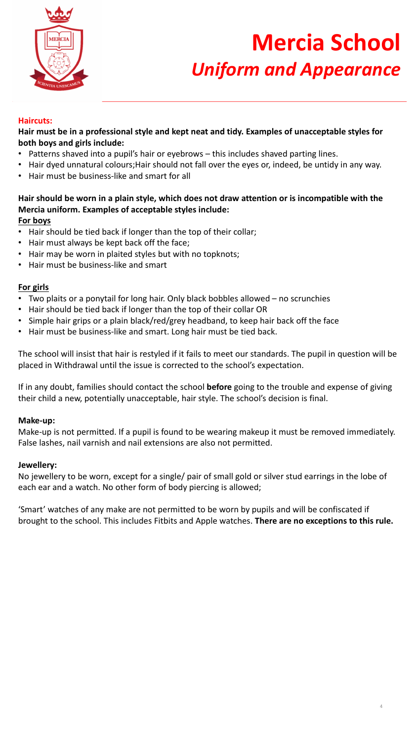

# **Mercia School**  *Uniform and Appearance*

#### **Haircuts:**

Hair must be in a professional style and kept neat and tidy. Examples of unacceptable styles for **both boys and girls include:** 

- Patterns shaved into a pupil's hair or eyebrows this includes shaved parting lines.
- Hair dyed unnatural colours; Hair should not fall over the eyes or, indeed, be untidy in any way.
- Hair must be business-like and smart for all

### Hair should be worn in a plain style, which does not draw attention or is incompatible with the **Mercia uniform. Examples of acceptable styles include:**

#### **For boys**

- Hair should be tied back if longer than the top of their collar;
- Hair must always be kept back off the face;
- Hair may be worn in plaited styles but with no topknots;
- Hair must be business-like and smart

#### **For girls**

- Two plaits or a ponytail for long hair. Only black bobbles allowed  $-$  no scrunchies
- Hair should be tied back if longer than the top of their collar OR
- Simple hair grips or a plain black/red/grey headband, to keep hair back off the face
- Hair must be business-like and smart. Long hair must be tied back.

The school will insist that hair is restyled if it fails to meet our standards. The pupil in question will be placed in Withdrawal until the issue is corrected to the school's expectation.

If in any doubt, families should contact the school **before** going to the trouble and expense of giving their child a new, potentially unacceptable, hair style. The school's decision is final.

#### **Make-up:**

Make-up is not permitted. If a pupil is found to be wearing makeup it must be removed immediately. False lashes, nail varnish and nail extensions are also not permitted.

#### **Jewellery:**

No jewellery to be worn, except for a single/ pair of small gold or silver stud earrings in the lobe of each ear and a watch. No other form of body piercing is allowed;

'Smart' watches of any make are not permitted to be worn by pupils and will be confiscated if brought to the school. This includes Fitbits and Apple watches. There are no exceptions to this rule.